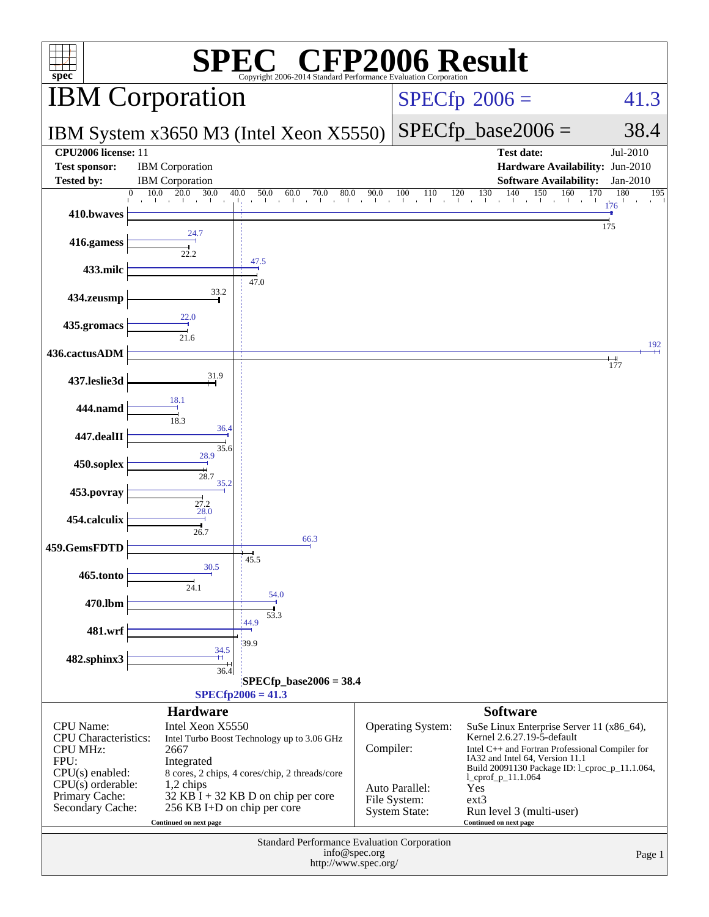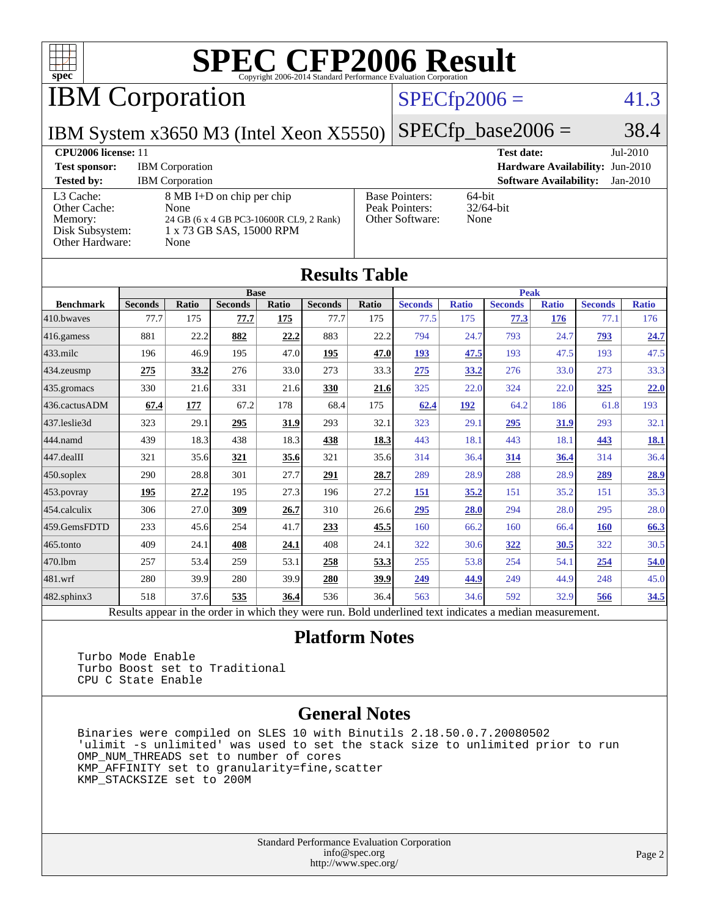

IBM Corporation

### $SPECfp2006 = 41.3$  $SPECfp2006 = 41.3$

IBM System x3650 M3 (Intel Xeon X5550)

 $SPECfp\_base2006 = 38.4$ 

| <b>CPU2006 license: 11</b>                                                 |                                                                                                                  | <b>Test date:</b><br>$Jul-2010$                            |                                             |  |
|----------------------------------------------------------------------------|------------------------------------------------------------------------------------------------------------------|------------------------------------------------------------|---------------------------------------------|--|
| <b>Test sponsor:</b>                                                       | <b>IBM</b> Corporation                                                                                           | <b>Hardware Availability: Jun-2010</b>                     |                                             |  |
| <b>Tested by:</b>                                                          | <b>IBM</b> Corporation                                                                                           |                                                            | <b>Software Availability:</b><br>$Jan-2010$ |  |
| L3 Cache:<br>Other Cache:<br>Memory:<br>Disk Subsystem:<br>Other Hardware: | 8 MB I+D on chip per chip<br>None<br>24 GB (6 x 4 GB PC3-10600R CL9, 2 Rank)<br>1 x 73 GB SAS, 15000 RPM<br>None | <b>Base Pointers:</b><br>Peak Pointers:<br>Other Software: | $64$ -bit<br>$32/64$ -bit<br>None           |  |

**[Results Table](http://www.spec.org/auto/cpu2006/Docs/result-fields.html#ResultsTable)**

| Results Table    |                                                                                                          |              |                |       |                |              |                |              |                |              |                |              |
|------------------|----------------------------------------------------------------------------------------------------------|--------------|----------------|-------|----------------|--------------|----------------|--------------|----------------|--------------|----------------|--------------|
|                  |                                                                                                          |              | <b>Base</b>    |       |                |              | <b>Peak</b>    |              |                |              |                |              |
| <b>Benchmark</b> | <b>Seconds</b>                                                                                           | <b>Ratio</b> | <b>Seconds</b> | Ratio | <b>Seconds</b> | <b>Ratio</b> | <b>Seconds</b> | <b>Ratio</b> | <b>Seconds</b> | <b>Ratio</b> | <b>Seconds</b> | <b>Ratio</b> |
| 410.bwayes       | 77.7                                                                                                     | 175          | 77.7           | 175   | 77.7           | 175          | 77.5           | 175          | 77.3           | 176          | 77.1           | 176          |
| 416.gamess       | 881                                                                                                      | 22.2         | 882            | 22.2  | 883            | 22.2         | 794            | 24.7         | 793            | 24.7         | 793            | 24.7         |
| $433$ .milc      | 196                                                                                                      | 46.9         | 195            | 47.0  | <u>195</u>     | 47.0         | 193            | 47.5         | 193            | 47.5         | 193            | 47.5         |
| $434$ . zeusmp   | 275                                                                                                      | 33.2         | 276            | 33.0  | 273            | 33.3         | 275            | 33.2         | 276            | 33.0         | 273            | 33.3         |
| 435.gromacs      | 330                                                                                                      | 21.6         | 331            | 21.6  | 330            | <u>21.6</u>  | 325            | 22.0         | 324            | 22.0         | 325            | 22.0         |
| 436.cactusADM    | 67.4                                                                                                     | 177          | 67.2           | 178   | 68.4           | 175          | 62.4           | 192          | 64.2           | 186          | 61.8           | 193          |
| 437.leslie3d     | 323                                                                                                      | 29.1         | 295            | 31.9  | 293            | 32.1         | 323            | 29.1         | 295            | 31.9         | 293            | 32.1         |
| 444.namd         | 439                                                                                                      | 18.3         | 438            | 18.3  | 438            | 18.3         | 443            | 18.1         | 443            | 18.1         | 443            | <u>18.1</u>  |
| 447.dealII       | 321                                                                                                      | 35.6         | 321            | 35.6  | 321            | 35.6         | 314            | 36.4         | 314            | 36.4         | 314            | 36.4         |
| $450$ .soplex    | 290                                                                                                      | 28.8         | 301            | 27.7  | 291            | 28.7         | 289            | 28.9         | 288            | 28.9         | 289            | 28.9         |
| 453.povray       | 195                                                                                                      | 27.2         | 195            | 27.3  | 196            | 27.2         | 151            | 35.2         | 151            | 35.2         | 151            | 35.3         |
| 454.calculix     | 306                                                                                                      | 27.0         | 309            | 26.7  | 310            | 26.6         | 295            | 28.0         | 294            | 28.0         | 295            | 28.0         |
| 459.GemsFDTD     | 233                                                                                                      | 45.6         | 254            | 41.7  | 233            | 45.5         | 160            | 66.2         | 160            | 66.4         | 160            | 66.3         |
| $465$ .tonto     | 409                                                                                                      | 24.1         | 408            | 24.1  | 408            | 24.1         | 322            | 30.6         | 322            | 30.5         | 322            | 30.5         |
| 470.1bm          | 257                                                                                                      | 53.4         | 259            | 53.1  | 258            | 53.3         | 255            | 53.8         | 254            | 54.1         | <u>254</u>     | 54.0         |
| 481.wrf          | 280                                                                                                      | 39.9         | 280            | 39.9  | 280            | 39.9         | 249            | 44.9         | 249            | 44.9         | 248            | 45.0         |
| 482.sphinx3      | 518                                                                                                      | 37.6         | 535            | 36.4  | 536            | 36.4         | 563            | 34.6         | 592            | 32.9         | 566            | 34.5         |
|                  | Results appear in the order in which they were run. Bold underlined text indicates a median measurement. |              |                |       |                |              |                |              |                |              |                |              |

#### **[Platform Notes](http://www.spec.org/auto/cpu2006/Docs/result-fields.html#PlatformNotes)**

 Turbo Mode Enable Turbo Boost set to Traditional CPU C State Enable

#### **[General Notes](http://www.spec.org/auto/cpu2006/Docs/result-fields.html#GeneralNotes)**

 Binaries were compiled on SLES 10 with Binutils 2.18.50.0.7.20080502 'ulimit -s unlimited' was used to set the stack size to unlimited prior to run OMP\_NUM\_THREADS set to number of cores KMP\_AFFINITY set to granularity=fine,scatter KMP\_STACKSIZE set to 200M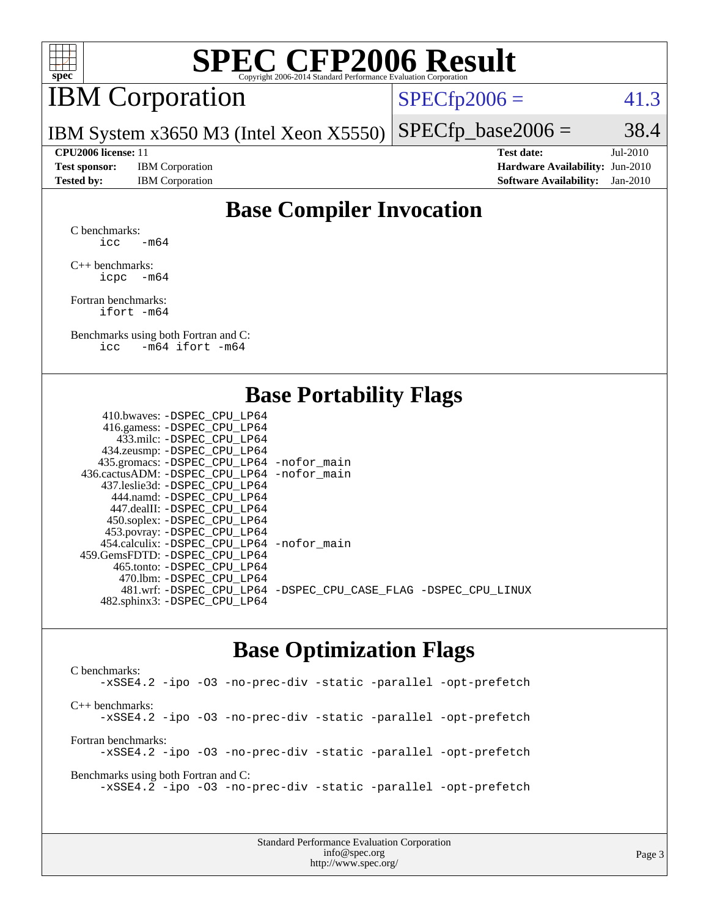

## IBM Corporation

 $SPECTp2006 = 41.3$ 

IBM System x3650 M3 (Intel Xeon X5550)  $SPECTp\_base2006 = 38.4$ 

**[Test sponsor:](http://www.spec.org/auto/cpu2006/Docs/result-fields.html#Testsponsor)** IBM Corporation **[Hardware Availability:](http://www.spec.org/auto/cpu2006/Docs/result-fields.html#HardwareAvailability)** Jun-2010

**[CPU2006 license:](http://www.spec.org/auto/cpu2006/Docs/result-fields.html#CPU2006license)** 11 **[Test date:](http://www.spec.org/auto/cpu2006/Docs/result-fields.html#Testdate)** Jul-2010 **[Tested by:](http://www.spec.org/auto/cpu2006/Docs/result-fields.html#Testedby)** IBM Corporation **[Software Availability:](http://www.spec.org/auto/cpu2006/Docs/result-fields.html#SoftwareAvailability)** Jan-2010

### **[Base Compiler Invocation](http://www.spec.org/auto/cpu2006/Docs/result-fields.html#BaseCompilerInvocation)**

[C benchmarks](http://www.spec.org/auto/cpu2006/Docs/result-fields.html#Cbenchmarks): icc  $-m64$ 

[C++ benchmarks:](http://www.spec.org/auto/cpu2006/Docs/result-fields.html#CXXbenchmarks) [icpc -m64](http://www.spec.org/cpu2006/results/res2010q3/cpu2006-20100719-12563.flags.html#user_CXXbase_intel_icpc_64bit_bedb90c1146cab66620883ef4f41a67e)

[Fortran benchmarks](http://www.spec.org/auto/cpu2006/Docs/result-fields.html#Fortranbenchmarks): [ifort -m64](http://www.spec.org/cpu2006/results/res2010q3/cpu2006-20100719-12563.flags.html#user_FCbase_intel_ifort_64bit_ee9d0fb25645d0210d97eb0527dcc06e)

[Benchmarks using both Fortran and C](http://www.spec.org/auto/cpu2006/Docs/result-fields.html#BenchmarksusingbothFortranandC): [icc -m64](http://www.spec.org/cpu2006/results/res2010q3/cpu2006-20100719-12563.flags.html#user_CC_FCbase_intel_icc_64bit_0b7121f5ab7cfabee23d88897260401c) [ifort -m64](http://www.spec.org/cpu2006/results/res2010q3/cpu2006-20100719-12563.flags.html#user_CC_FCbase_intel_ifort_64bit_ee9d0fb25645d0210d97eb0527dcc06e)

#### **[Base Portability Flags](http://www.spec.org/auto/cpu2006/Docs/result-fields.html#BasePortabilityFlags)**

| 410.bwaves: -DSPEC CPU LP64                 |                                                                |
|---------------------------------------------|----------------------------------------------------------------|
| 416.gamess: - DSPEC_CPU_LP64                |                                                                |
| 433.milc: -DSPEC CPU LP64                   |                                                                |
| 434.zeusmp: -DSPEC_CPU_LP64                 |                                                                |
| 435.gromacs: -DSPEC_CPU_LP64 -nofor_main    |                                                                |
| 436.cactusADM: -DSPEC CPU LP64 -nofor main  |                                                                |
| 437.leslie3d: -DSPEC CPU LP64               |                                                                |
| 444.namd: - DSPEC_CPU_LP64                  |                                                                |
| 447.dealII: -DSPEC CPU LP64                 |                                                                |
| 450.soplex: -DSPEC_CPU_LP64                 |                                                                |
| 453.povray: -DSPEC_CPU_LP64                 |                                                                |
| 454.calculix: - DSPEC CPU LP64 - nofor main |                                                                |
| 459.GemsFDTD: -DSPEC_CPU LP64               |                                                                |
| 465.tonto: - DSPEC_CPU LP64                 |                                                                |
| 470.1bm: - DSPEC CPU LP64                   |                                                                |
|                                             | 481.wrf: -DSPEC_CPU_LP64 -DSPEC_CPU_CASE_FLAG -DSPEC_CPU_LINUX |
| 482.sphinx3: -DSPEC_CPU_LP64                |                                                                |
|                                             |                                                                |

#### **[Base Optimization Flags](http://www.spec.org/auto/cpu2006/Docs/result-fields.html#BaseOptimizationFlags)**

[C benchmarks](http://www.spec.org/auto/cpu2006/Docs/result-fields.html#Cbenchmarks): [-xSSE4.2](http://www.spec.org/cpu2006/results/res2010q3/cpu2006-20100719-12563.flags.html#user_CCbase_f-xSSE42_f91528193cf0b216347adb8b939d4107) [-ipo](http://www.spec.org/cpu2006/results/res2010q3/cpu2006-20100719-12563.flags.html#user_CCbase_f-ipo) [-O3](http://www.spec.org/cpu2006/results/res2010q3/cpu2006-20100719-12563.flags.html#user_CCbase_f-O3) [-no-prec-div](http://www.spec.org/cpu2006/results/res2010q3/cpu2006-20100719-12563.flags.html#user_CCbase_f-no-prec-div) [-static](http://www.spec.org/cpu2006/results/res2010q3/cpu2006-20100719-12563.flags.html#user_CCbase_f-static) [-parallel](http://www.spec.org/cpu2006/results/res2010q3/cpu2006-20100719-12563.flags.html#user_CCbase_f-parallel) [-opt-prefetch](http://www.spec.org/cpu2006/results/res2010q3/cpu2006-20100719-12563.flags.html#user_CCbase_f-opt-prefetch) [C++ benchmarks:](http://www.spec.org/auto/cpu2006/Docs/result-fields.html#CXXbenchmarks) [-xSSE4.2](http://www.spec.org/cpu2006/results/res2010q3/cpu2006-20100719-12563.flags.html#user_CXXbase_f-xSSE42_f91528193cf0b216347adb8b939d4107) [-ipo](http://www.spec.org/cpu2006/results/res2010q3/cpu2006-20100719-12563.flags.html#user_CXXbase_f-ipo) [-O3](http://www.spec.org/cpu2006/results/res2010q3/cpu2006-20100719-12563.flags.html#user_CXXbase_f-O3) [-no-prec-div](http://www.spec.org/cpu2006/results/res2010q3/cpu2006-20100719-12563.flags.html#user_CXXbase_f-no-prec-div) [-static](http://www.spec.org/cpu2006/results/res2010q3/cpu2006-20100719-12563.flags.html#user_CXXbase_f-static) [-parallel](http://www.spec.org/cpu2006/results/res2010q3/cpu2006-20100719-12563.flags.html#user_CXXbase_f-parallel) [-opt-prefetch](http://www.spec.org/cpu2006/results/res2010q3/cpu2006-20100719-12563.flags.html#user_CXXbase_f-opt-prefetch) [Fortran benchmarks](http://www.spec.org/auto/cpu2006/Docs/result-fields.html#Fortranbenchmarks): [-xSSE4.2](http://www.spec.org/cpu2006/results/res2010q3/cpu2006-20100719-12563.flags.html#user_FCbase_f-xSSE42_f91528193cf0b216347adb8b939d4107) [-ipo](http://www.spec.org/cpu2006/results/res2010q3/cpu2006-20100719-12563.flags.html#user_FCbase_f-ipo) [-O3](http://www.spec.org/cpu2006/results/res2010q3/cpu2006-20100719-12563.flags.html#user_FCbase_f-O3) [-no-prec-div](http://www.spec.org/cpu2006/results/res2010q3/cpu2006-20100719-12563.flags.html#user_FCbase_f-no-prec-div) [-static](http://www.spec.org/cpu2006/results/res2010q3/cpu2006-20100719-12563.flags.html#user_FCbase_f-static) [-parallel](http://www.spec.org/cpu2006/results/res2010q3/cpu2006-20100719-12563.flags.html#user_FCbase_f-parallel) [-opt-prefetch](http://www.spec.org/cpu2006/results/res2010q3/cpu2006-20100719-12563.flags.html#user_FCbase_f-opt-prefetch) [Benchmarks using both Fortran and C](http://www.spec.org/auto/cpu2006/Docs/result-fields.html#BenchmarksusingbothFortranandC): [-xSSE4.2](http://www.spec.org/cpu2006/results/res2010q3/cpu2006-20100719-12563.flags.html#user_CC_FCbase_f-xSSE42_f91528193cf0b216347adb8b939d4107) [-ipo](http://www.spec.org/cpu2006/results/res2010q3/cpu2006-20100719-12563.flags.html#user_CC_FCbase_f-ipo) [-O3](http://www.spec.org/cpu2006/results/res2010q3/cpu2006-20100719-12563.flags.html#user_CC_FCbase_f-O3) [-no-prec-div](http://www.spec.org/cpu2006/results/res2010q3/cpu2006-20100719-12563.flags.html#user_CC_FCbase_f-no-prec-div) [-static](http://www.spec.org/cpu2006/results/res2010q3/cpu2006-20100719-12563.flags.html#user_CC_FCbase_f-static) [-parallel](http://www.spec.org/cpu2006/results/res2010q3/cpu2006-20100719-12563.flags.html#user_CC_FCbase_f-parallel) [-opt-prefetch](http://www.spec.org/cpu2006/results/res2010q3/cpu2006-20100719-12563.flags.html#user_CC_FCbase_f-opt-prefetch)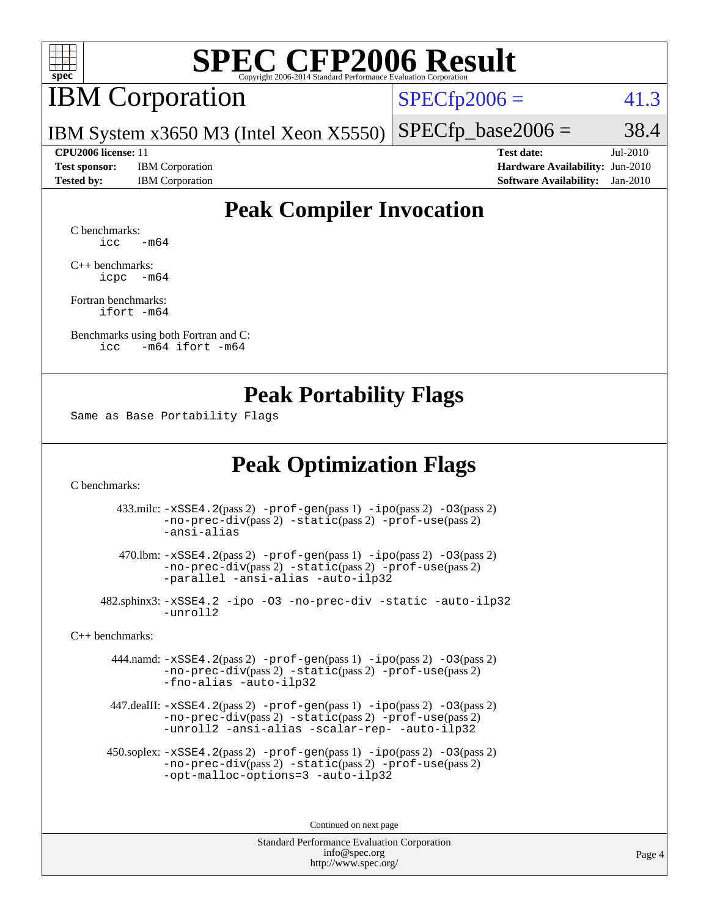

## IBM Corporation

 $SPECfp2006 = 41.3$  $SPECfp2006 = 41.3$ 

IBM System x3650 M3 (Intel Xeon X5550)  $SPECTp\_base2006 = 38.4$ 

**[Test sponsor:](http://www.spec.org/auto/cpu2006/Docs/result-fields.html#Testsponsor)** IBM Corporation **[Hardware Availability:](http://www.spec.org/auto/cpu2006/Docs/result-fields.html#HardwareAvailability)** Jun-2010

**[CPU2006 license:](http://www.spec.org/auto/cpu2006/Docs/result-fields.html#CPU2006license)** 11 **[Test date:](http://www.spec.org/auto/cpu2006/Docs/result-fields.html#Testdate)** Jul-2010 **[Tested by:](http://www.spec.org/auto/cpu2006/Docs/result-fields.html#Testedby)** IBM Corporation **[Software Availability:](http://www.spec.org/auto/cpu2006/Docs/result-fields.html#SoftwareAvailability)** Jan-2010

### **[Peak Compiler Invocation](http://www.spec.org/auto/cpu2006/Docs/result-fields.html#PeakCompilerInvocation)**

[C benchmarks](http://www.spec.org/auto/cpu2006/Docs/result-fields.html#Cbenchmarks):  $\text{icc}$   $-\text{m64}$ 

[C++ benchmarks:](http://www.spec.org/auto/cpu2006/Docs/result-fields.html#CXXbenchmarks) [icpc -m64](http://www.spec.org/cpu2006/results/res2010q3/cpu2006-20100719-12563.flags.html#user_CXXpeak_intel_icpc_64bit_bedb90c1146cab66620883ef4f41a67e)

[Fortran benchmarks](http://www.spec.org/auto/cpu2006/Docs/result-fields.html#Fortranbenchmarks): [ifort -m64](http://www.spec.org/cpu2006/results/res2010q3/cpu2006-20100719-12563.flags.html#user_FCpeak_intel_ifort_64bit_ee9d0fb25645d0210d97eb0527dcc06e)

[Benchmarks using both Fortran and C](http://www.spec.org/auto/cpu2006/Docs/result-fields.html#BenchmarksusingbothFortranandC): [icc -m64](http://www.spec.org/cpu2006/results/res2010q3/cpu2006-20100719-12563.flags.html#user_CC_FCpeak_intel_icc_64bit_0b7121f5ab7cfabee23d88897260401c) [ifort -m64](http://www.spec.org/cpu2006/results/res2010q3/cpu2006-20100719-12563.flags.html#user_CC_FCpeak_intel_ifort_64bit_ee9d0fb25645d0210d97eb0527dcc06e)

#### **[Peak Portability Flags](http://www.spec.org/auto/cpu2006/Docs/result-fields.html#PeakPortabilityFlags)**

Same as Base Portability Flags

### **[Peak Optimization Flags](http://www.spec.org/auto/cpu2006/Docs/result-fields.html#PeakOptimizationFlags)**

[C benchmarks](http://www.spec.org/auto/cpu2006/Docs/result-fields.html#Cbenchmarks):

 433.milc: [-xSSE4.2](http://www.spec.org/cpu2006/results/res2010q3/cpu2006-20100719-12563.flags.html#user_peakPASS2_CFLAGSPASS2_LDFLAGS433_milc_f-xSSE42_f91528193cf0b216347adb8b939d4107)(pass 2) [-prof-gen](http://www.spec.org/cpu2006/results/res2010q3/cpu2006-20100719-12563.flags.html#user_peakPASS1_CFLAGSPASS1_LDFLAGS433_milc_prof_gen_e43856698f6ca7b7e442dfd80e94a8fc)(pass 1) [-ipo](http://www.spec.org/cpu2006/results/res2010q3/cpu2006-20100719-12563.flags.html#user_peakPASS2_CFLAGSPASS2_LDFLAGS433_milc_f-ipo)(pass 2) [-O3](http://www.spec.org/cpu2006/results/res2010q3/cpu2006-20100719-12563.flags.html#user_peakPASS2_CFLAGSPASS2_LDFLAGS433_milc_f-O3)(pass 2) [-no-prec-div](http://www.spec.org/cpu2006/results/res2010q3/cpu2006-20100719-12563.flags.html#user_peakPASS2_CFLAGSPASS2_LDFLAGS433_milc_f-no-prec-div)(pass 2) [-static](http://www.spec.org/cpu2006/results/res2010q3/cpu2006-20100719-12563.flags.html#user_peakPASS2_CFLAGSPASS2_LDFLAGS433_milc_f-static)(pass 2) [-prof-use](http://www.spec.org/cpu2006/results/res2010q3/cpu2006-20100719-12563.flags.html#user_peakPASS2_CFLAGSPASS2_LDFLAGS433_milc_prof_use_bccf7792157ff70d64e32fe3e1250b55)(pass 2) [-ansi-alias](http://www.spec.org/cpu2006/results/res2010q3/cpu2006-20100719-12563.flags.html#user_peakOPTIMIZE433_milc_f-ansi-alias)

 470.lbm: [-xSSE4.2](http://www.spec.org/cpu2006/results/res2010q3/cpu2006-20100719-12563.flags.html#user_peakPASS2_CFLAGSPASS2_LDFLAGS470_lbm_f-xSSE42_f91528193cf0b216347adb8b939d4107)(pass 2) [-prof-gen](http://www.spec.org/cpu2006/results/res2010q3/cpu2006-20100719-12563.flags.html#user_peakPASS1_CFLAGSPASS1_LDFLAGS470_lbm_prof_gen_e43856698f6ca7b7e442dfd80e94a8fc)(pass 1) [-ipo](http://www.spec.org/cpu2006/results/res2010q3/cpu2006-20100719-12563.flags.html#user_peakPASS2_CFLAGSPASS2_LDFLAGS470_lbm_f-ipo)(pass 2) [-O3](http://www.spec.org/cpu2006/results/res2010q3/cpu2006-20100719-12563.flags.html#user_peakPASS2_CFLAGSPASS2_LDFLAGS470_lbm_f-O3)(pass 2) [-no-prec-div](http://www.spec.org/cpu2006/results/res2010q3/cpu2006-20100719-12563.flags.html#user_peakPASS2_CFLAGSPASS2_LDFLAGS470_lbm_f-no-prec-div)(pass 2) [-static](http://www.spec.org/cpu2006/results/res2010q3/cpu2006-20100719-12563.flags.html#user_peakPASS2_CFLAGSPASS2_LDFLAGS470_lbm_f-static)(pass 2) [-prof-use](http://www.spec.org/cpu2006/results/res2010q3/cpu2006-20100719-12563.flags.html#user_peakPASS2_CFLAGSPASS2_LDFLAGS470_lbm_prof_use_bccf7792157ff70d64e32fe3e1250b55)(pass 2) [-parallel](http://www.spec.org/cpu2006/results/res2010q3/cpu2006-20100719-12563.flags.html#user_peakOPTIMIZE470_lbm_f-parallel) [-ansi-alias](http://www.spec.org/cpu2006/results/res2010q3/cpu2006-20100719-12563.flags.html#user_peakOPTIMIZE470_lbm_f-ansi-alias) [-auto-ilp32](http://www.spec.org/cpu2006/results/res2010q3/cpu2006-20100719-12563.flags.html#user_peakCOPTIMIZE470_lbm_f-auto-ilp32)

 482.sphinx3: [-xSSE4.2](http://www.spec.org/cpu2006/results/res2010q3/cpu2006-20100719-12563.flags.html#user_peakOPTIMIZE482_sphinx3_f-xSSE42_f91528193cf0b216347adb8b939d4107) [-ipo](http://www.spec.org/cpu2006/results/res2010q3/cpu2006-20100719-12563.flags.html#user_peakOPTIMIZE482_sphinx3_f-ipo) [-O3](http://www.spec.org/cpu2006/results/res2010q3/cpu2006-20100719-12563.flags.html#user_peakOPTIMIZE482_sphinx3_f-O3) [-no-prec-div](http://www.spec.org/cpu2006/results/res2010q3/cpu2006-20100719-12563.flags.html#user_peakOPTIMIZE482_sphinx3_f-no-prec-div) [-static](http://www.spec.org/cpu2006/results/res2010q3/cpu2006-20100719-12563.flags.html#user_peakOPTIMIZE482_sphinx3_f-static) [-auto-ilp32](http://www.spec.org/cpu2006/results/res2010q3/cpu2006-20100719-12563.flags.html#user_peakCOPTIMIZE482_sphinx3_f-auto-ilp32) [-unroll2](http://www.spec.org/cpu2006/results/res2010q3/cpu2006-20100719-12563.flags.html#user_peakCOPTIMIZE482_sphinx3_f-unroll_784dae83bebfb236979b41d2422d7ec2)

[C++ benchmarks:](http://www.spec.org/auto/cpu2006/Docs/result-fields.html#CXXbenchmarks)

 444.namd: [-xSSE4.2](http://www.spec.org/cpu2006/results/res2010q3/cpu2006-20100719-12563.flags.html#user_peakPASS2_CXXFLAGSPASS2_LDFLAGS444_namd_f-xSSE42_f91528193cf0b216347adb8b939d4107)(pass 2) [-prof-gen](http://www.spec.org/cpu2006/results/res2010q3/cpu2006-20100719-12563.flags.html#user_peakPASS1_CXXFLAGSPASS1_LDFLAGS444_namd_prof_gen_e43856698f6ca7b7e442dfd80e94a8fc)(pass 1) [-ipo](http://www.spec.org/cpu2006/results/res2010q3/cpu2006-20100719-12563.flags.html#user_peakPASS2_CXXFLAGSPASS2_LDFLAGS444_namd_f-ipo)(pass 2) [-O3](http://www.spec.org/cpu2006/results/res2010q3/cpu2006-20100719-12563.flags.html#user_peakPASS2_CXXFLAGSPASS2_LDFLAGS444_namd_f-O3)(pass 2) [-no-prec-div](http://www.spec.org/cpu2006/results/res2010q3/cpu2006-20100719-12563.flags.html#user_peakPASS2_CXXFLAGSPASS2_LDFLAGS444_namd_f-no-prec-div)(pass 2) [-static](http://www.spec.org/cpu2006/results/res2010q3/cpu2006-20100719-12563.flags.html#user_peakPASS2_CXXFLAGSPASS2_LDFLAGS444_namd_f-static)(pass 2) [-prof-use](http://www.spec.org/cpu2006/results/res2010q3/cpu2006-20100719-12563.flags.html#user_peakPASS2_CXXFLAGSPASS2_LDFLAGS444_namd_prof_use_bccf7792157ff70d64e32fe3e1250b55)(pass 2) [-fno-alias](http://www.spec.org/cpu2006/results/res2010q3/cpu2006-20100719-12563.flags.html#user_peakOPTIMIZE444_namd_f-no-alias_694e77f6c5a51e658e82ccff53a9e63a) [-auto-ilp32](http://www.spec.org/cpu2006/results/res2010q3/cpu2006-20100719-12563.flags.html#user_peakCXXOPTIMIZE444_namd_f-auto-ilp32)

 447.dealII: [-xSSE4.2](http://www.spec.org/cpu2006/results/res2010q3/cpu2006-20100719-12563.flags.html#user_peakPASS2_CXXFLAGSPASS2_LDFLAGS447_dealII_f-xSSE42_f91528193cf0b216347adb8b939d4107)(pass 2) [-prof-gen](http://www.spec.org/cpu2006/results/res2010q3/cpu2006-20100719-12563.flags.html#user_peakPASS1_CXXFLAGSPASS1_LDFLAGS447_dealII_prof_gen_e43856698f6ca7b7e442dfd80e94a8fc)(pass 1) [-ipo](http://www.spec.org/cpu2006/results/res2010q3/cpu2006-20100719-12563.flags.html#user_peakPASS2_CXXFLAGSPASS2_LDFLAGS447_dealII_f-ipo)(pass 2) [-O3](http://www.spec.org/cpu2006/results/res2010q3/cpu2006-20100719-12563.flags.html#user_peakPASS2_CXXFLAGSPASS2_LDFLAGS447_dealII_f-O3)(pass 2) [-no-prec-div](http://www.spec.org/cpu2006/results/res2010q3/cpu2006-20100719-12563.flags.html#user_peakPASS2_CXXFLAGSPASS2_LDFLAGS447_dealII_f-no-prec-div)(pass 2) [-static](http://www.spec.org/cpu2006/results/res2010q3/cpu2006-20100719-12563.flags.html#user_peakPASS2_CXXFLAGSPASS2_LDFLAGS447_dealII_f-static)(pass 2) [-prof-use](http://www.spec.org/cpu2006/results/res2010q3/cpu2006-20100719-12563.flags.html#user_peakPASS2_CXXFLAGSPASS2_LDFLAGS447_dealII_prof_use_bccf7792157ff70d64e32fe3e1250b55)(pass 2) [-unroll2](http://www.spec.org/cpu2006/results/res2010q3/cpu2006-20100719-12563.flags.html#user_peakOPTIMIZE447_dealII_f-unroll_784dae83bebfb236979b41d2422d7ec2) [-ansi-alias](http://www.spec.org/cpu2006/results/res2010q3/cpu2006-20100719-12563.flags.html#user_peakOPTIMIZE447_dealII_f-ansi-alias) [-scalar-rep-](http://www.spec.org/cpu2006/results/res2010q3/cpu2006-20100719-12563.flags.html#user_peakOPTIMIZE447_dealII_f-disablescalarrep_abbcad04450fb118e4809c81d83c8a1d) [-auto-ilp32](http://www.spec.org/cpu2006/results/res2010q3/cpu2006-20100719-12563.flags.html#user_peakCXXOPTIMIZE447_dealII_f-auto-ilp32)

 450.soplex: [-xSSE4.2](http://www.spec.org/cpu2006/results/res2010q3/cpu2006-20100719-12563.flags.html#user_peakPASS2_CXXFLAGSPASS2_LDFLAGS450_soplex_f-xSSE42_f91528193cf0b216347adb8b939d4107)(pass 2) [-prof-gen](http://www.spec.org/cpu2006/results/res2010q3/cpu2006-20100719-12563.flags.html#user_peakPASS1_CXXFLAGSPASS1_LDFLAGS450_soplex_prof_gen_e43856698f6ca7b7e442dfd80e94a8fc)(pass 1) [-ipo](http://www.spec.org/cpu2006/results/res2010q3/cpu2006-20100719-12563.flags.html#user_peakPASS2_CXXFLAGSPASS2_LDFLAGS450_soplex_f-ipo)(pass 2) [-O3](http://www.spec.org/cpu2006/results/res2010q3/cpu2006-20100719-12563.flags.html#user_peakPASS2_CXXFLAGSPASS2_LDFLAGS450_soplex_f-O3)(pass 2) [-no-prec-div](http://www.spec.org/cpu2006/results/res2010q3/cpu2006-20100719-12563.flags.html#user_peakPASS2_CXXFLAGSPASS2_LDFLAGS450_soplex_f-no-prec-div)(pass 2) [-static](http://www.spec.org/cpu2006/results/res2010q3/cpu2006-20100719-12563.flags.html#user_peakPASS2_CXXFLAGSPASS2_LDFLAGS450_soplex_f-static)(pass 2) [-prof-use](http://www.spec.org/cpu2006/results/res2010q3/cpu2006-20100719-12563.flags.html#user_peakPASS2_CXXFLAGSPASS2_LDFLAGS450_soplex_prof_use_bccf7792157ff70d64e32fe3e1250b55)(pass 2) [-opt-malloc-options=3](http://www.spec.org/cpu2006/results/res2010q3/cpu2006-20100719-12563.flags.html#user_peakOPTIMIZE450_soplex_f-opt-malloc-options_13ab9b803cf986b4ee62f0a5998c2238) [-auto-ilp32](http://www.spec.org/cpu2006/results/res2010q3/cpu2006-20100719-12563.flags.html#user_peakCXXOPTIMIZE450_soplex_f-auto-ilp32)

Continued on next page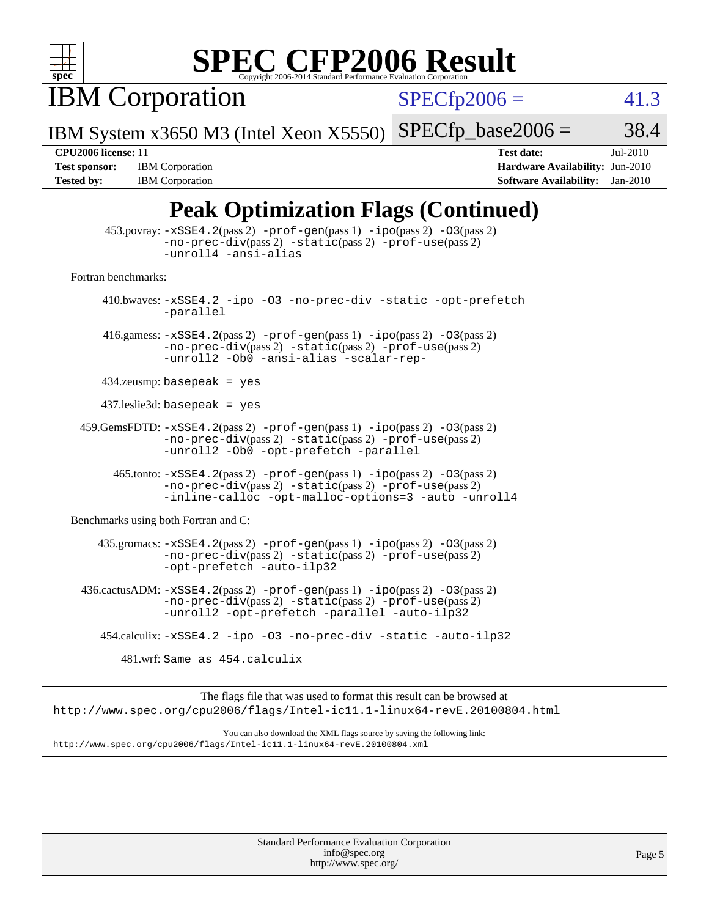

IBM Corporation

 $SPECfp2006 = 41.3$  $SPECfp2006 = 41.3$ 

IBM System x3650 M3 (Intel Xeon X5550)  $SPECTp\_base2006 = 38.4$ 

**[Tested by:](http://www.spec.org/auto/cpu2006/Docs/result-fields.html#Testedby)** IBM Corporation **[Software Availability:](http://www.spec.org/auto/cpu2006/Docs/result-fields.html#SoftwareAvailability)** Jan-2010

**[CPU2006 license:](http://www.spec.org/auto/cpu2006/Docs/result-fields.html#CPU2006license)** 11 **[Test date:](http://www.spec.org/auto/cpu2006/Docs/result-fields.html#Testdate)** Jul-2010 **[Test sponsor:](http://www.spec.org/auto/cpu2006/Docs/result-fields.html#Testsponsor)** IBM Corporation **[Hardware Availability:](http://www.spec.org/auto/cpu2006/Docs/result-fields.html#HardwareAvailability)** Jun-2010

## **[Peak Optimization Flags \(Continued\)](http://www.spec.org/auto/cpu2006/Docs/result-fields.html#PeakOptimizationFlags)**

|                                      | 453.povray: -xSSE4.2(pass 2) -prof-gen(pass 1) -ipo(pass 2) -03(pass 2)<br>-no-prec-div(pass 2) -static(pass 2) -prof-use(pass 2)<br>-unroll4 -ansi-alias                                          |
|--------------------------------------|----------------------------------------------------------------------------------------------------------------------------------------------------------------------------------------------------|
| Fortran benchmarks:                  |                                                                                                                                                                                                    |
|                                      | 410.bwaves: -xSSE4.2 -ipo -03 -no-prec-div -static -opt-prefetch<br>-parallel                                                                                                                      |
|                                      | 416.gamess: $-xSSE4$ . 2(pass 2) $-prof-gen(pass 1) -ipo(pass 2) -O3(pass 2)$<br>-no-prec-div(pass 2) -static(pass 2) -prof-use(pass 2)<br>-unroll2 -Ob0 -ansi-alias -scalar-rep-                  |
| $434$ .zeusmp: basepeak = yes        |                                                                                                                                                                                                    |
| $437$ leslie3d: basepeak = yes       |                                                                                                                                                                                                    |
|                                      | $459.GemsFDTD: -xSSE4.2(pass 2) -prof-gen(pass 1) -ipo(pass 2) -03(pass 2)$<br>$-no\text{-prec-div}(pass 2)$ $-static(pass 2)$ $-prot\text{-use}(pass 2)$<br>-unroll2 -Ob0 -opt-prefetch -parallel |
|                                      | $465$ .tonto: $-xSSE4$ . 2(pass 2) $-prof-gen(pass 1) -ipo(pass 2) -03(pass 2)$<br>$-no-prec-div(pass 2) -static(pass 2) -prof-use(pass 2)$<br>-inline-calloc -opt-malloc-options=3 -auto -unroll4 |
| Benchmarks using both Fortran and C: |                                                                                                                                                                                                    |
|                                      | $435$ .gromacs: $-xSSE4$ . 2(pass 2) $-prof-gen(pass 1) -ipo(pass 2) -03(pass 2)$<br>-no-prec-div(pass 2) -static(pass 2) -prof-use(pass 2)<br>-opt-prefetch -auto-ilp32                           |
|                                      | 436.cactusADM: -xSSE4.2(pass 2) -prof-gen(pass 1) -ipo(pass 2) -03(pass 2)<br>-no-prec-div(pass 2) -static(pass 2) -prof-use(pass 2)<br>-unroll2 -opt-prefetch -parallel -auto-ilp32               |
|                                      | 454.calculix: -xSSE4.2 -ipo -03 -no-prec-div -static -auto-ilp32                                                                                                                                   |
|                                      | 481.wrf: Same as 454.calculix                                                                                                                                                                      |
|                                      | The flags file that was used to format this result can be browsed at<br>http://www.spec.org/cpu2006/flags/Intel-ic11.1-linux64-revE.20100804.html                                                  |
|                                      | You can also download the XML flags source by saving the following link:<br>http://www.spec.org/cpu2006/flags/Intel-icl1.1-linux64-revE.20100804.xml                                               |
|                                      |                                                                                                                                                                                                    |
|                                      |                                                                                                                                                                                                    |